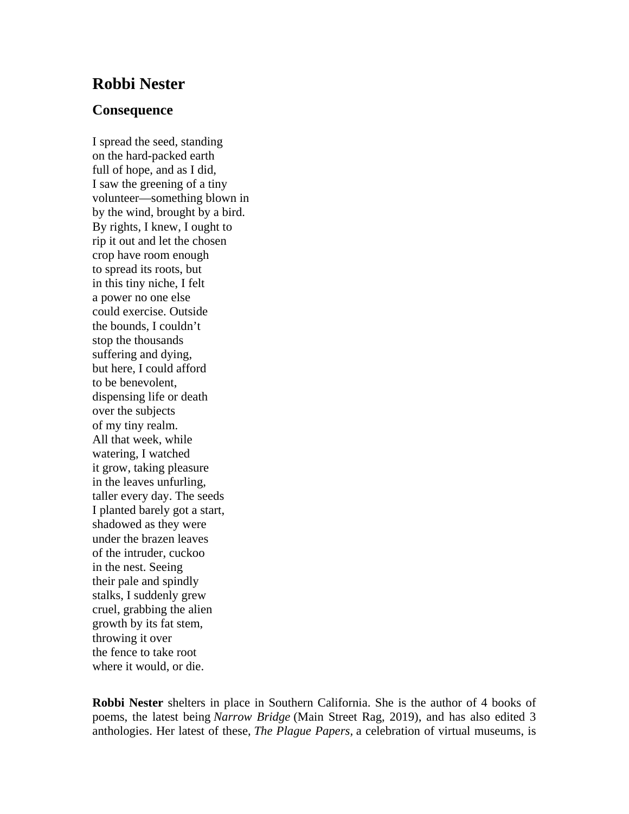## **Robbi Nester**

## **Consequence**

I spread the seed, standing on the hard-packed earth full of hope, and as I did, I saw the greening of a tiny volunteer—something blown in by the wind, brought by a bird. By rights, I knew, I ought to rip it out and let the chosen crop have room enough to spread its roots, but in this tiny niche, I felt a power no one else could exercise. Outside the bounds, I couldn't stop the thousands suffering and dying, but here, I could afford to be benevolent, dispensing life or death over the subjects of my tiny realm. All that week, while watering, I watched it grow, taking pleasure in the leaves unfurling, taller every day. The seeds I planted barely got a start, shadowed as they were under the brazen leaves of the intruder, cuckoo in the nest. Seeing their pale and spindly stalks, I suddenly grew cruel, grabbing the alien growth by its fat stem, throwing it over the fence to take root where it would, or die.

**Robbi Nester** shelters in place in Southern California. She is the author of 4 books of poems, the latest being *Narrow Bridge* (Main Street Rag, 2019), and has also edited 3 anthologies. Her latest of these, *The Plague Papers,* a celebration of virtual museums, is